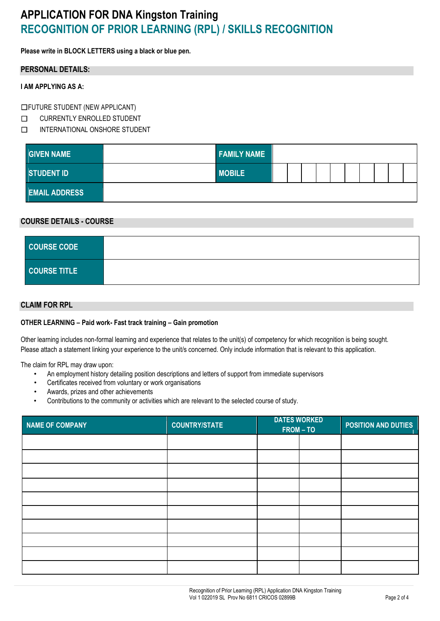# **APPLICATION FOR DNA Kingston Training RECOGNITION OF PRIOR LEARNING (RPL) / SKILLS RECOGNITION**

**Please write in BLOCK LETTERS using a black or blue pen.**

### **PERSONAL DETAILS:**

### **I AM APPLYING AS A:**

☐FUTURE STUDENT (NEW APPLICANT)

- ☐ CURRENTLY ENROLLED STUDENT
- ☐ INTERNATIONAL ONSHORE STUDENT

| <b>GIVEN NAME</b>         | <b>FAMILY NAME</b> |  |  |  |  |  |
|---------------------------|--------------------|--|--|--|--|--|
| STUDENT ID                | <b>MOBILE</b>      |  |  |  |  |  |
| <b>EMAIL ADDRESS</b><br>ш |                    |  |  |  |  |  |

### **COURSE DETAILS - COURSE**

| <b>COURSE CODE</b>  |  |
|---------------------|--|
| <b>COURSE TITLE</b> |  |

## **CLAIM FOR RPL**

#### **OTHER LEARNING – Paid work- Fast track training – Gain promotion**

Other learning includes non-formal learning and experience that relates to the unit(s) of competency for which recognition is being sought. Please attach a statement linking your experience to the unit/s concerned. Only include information that is relevant to this application.

The claim for RPL may draw upon:

- An employment history detailing position descriptions and letters of support from immediate supervisors
- Certificates received from voluntary or work organisations
- Awards, prizes and other achievements
- Contributions to the community or activities which are relevant to the selected course of study.

| NAME OF COMPANY | <b>COUNTRY/STATE</b> | <b>DATES WORKED</b><br>FROM-TO |  | <b>POSITION AND DUTIES</b> |
|-----------------|----------------------|--------------------------------|--|----------------------------|
|                 |                      |                                |  |                            |
|                 |                      |                                |  |                            |
|                 |                      |                                |  |                            |
|                 |                      |                                |  |                            |
|                 |                      |                                |  |                            |
|                 |                      |                                |  |                            |
|                 |                      |                                |  |                            |
|                 |                      |                                |  |                            |
|                 |                      |                                |  |                            |
|                 |                      |                                |  |                            |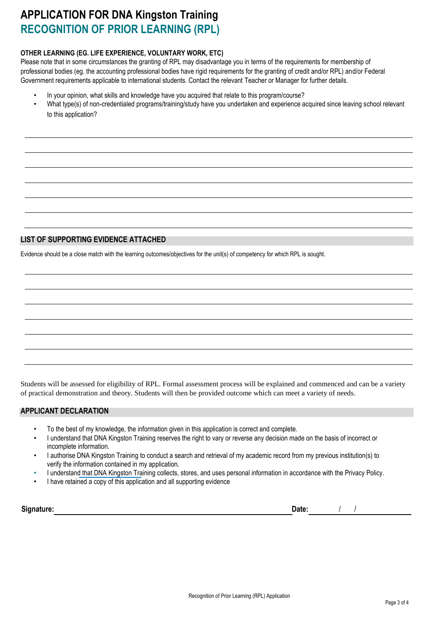# **APPLICATION FOR DNA Kingston Training RECOGNITION OF PRIOR LEARNING (RPL)**

### **OTHER LEARNING (EG. LIFE EXPERIENCE, VOLUNTARY WORK, ETC)**

Please note that in some circumstances the granting of RPL may disadvantage you in terms of the requirements for membership of professional bodies (eg. the accounting professional bodies have rigid requirements for the granting of credit and/or RPL) and/or Federal Government requirements applicable to international students. Contact the relevant Teacher or Manager for further details.

- In your opinion, what skills and knowledge have you acquired that relate to this program/course?
- What type(s) of non-credentialed programs/training/study have you undertaken and experience acquired since leaving school relevant to this application?

## **LIST OF SUPPORTING EVIDENCE ATTACHED**

Evidence should be a close match with the learning outcomes/objectives for the unit(s) of competency for which RPL is sought.

Students will be assessed for eligibility of RPL. Formal assessment process will be explained and commenced and can be a variety of practical demonstration and theory. Students will then be provided outcome which can meet a variety of needs.

## **APPLICANT DECLARATION**

- To the best of my knowledge, the information given in this application is correct and complete.
- I understand that DNA Kingston Training reserves the right to vary or reverse any decision made on the basis of incorrect or incomplete information.
- I authorise DNA Kingston Training to conduct a search and retrieval of my academic record from my previous institution(s) to verify the information contained in my application.
- I understand that DNA Kingston Training collects, stores, and uses personal information in accordance with the Privacy Policy.
- I have retained a copy of this application and all supporting evidence

| Sian<br>----- | $- - - - - -$ |  |  |
|---------------|---------------|--|--|
|               |               |  |  |